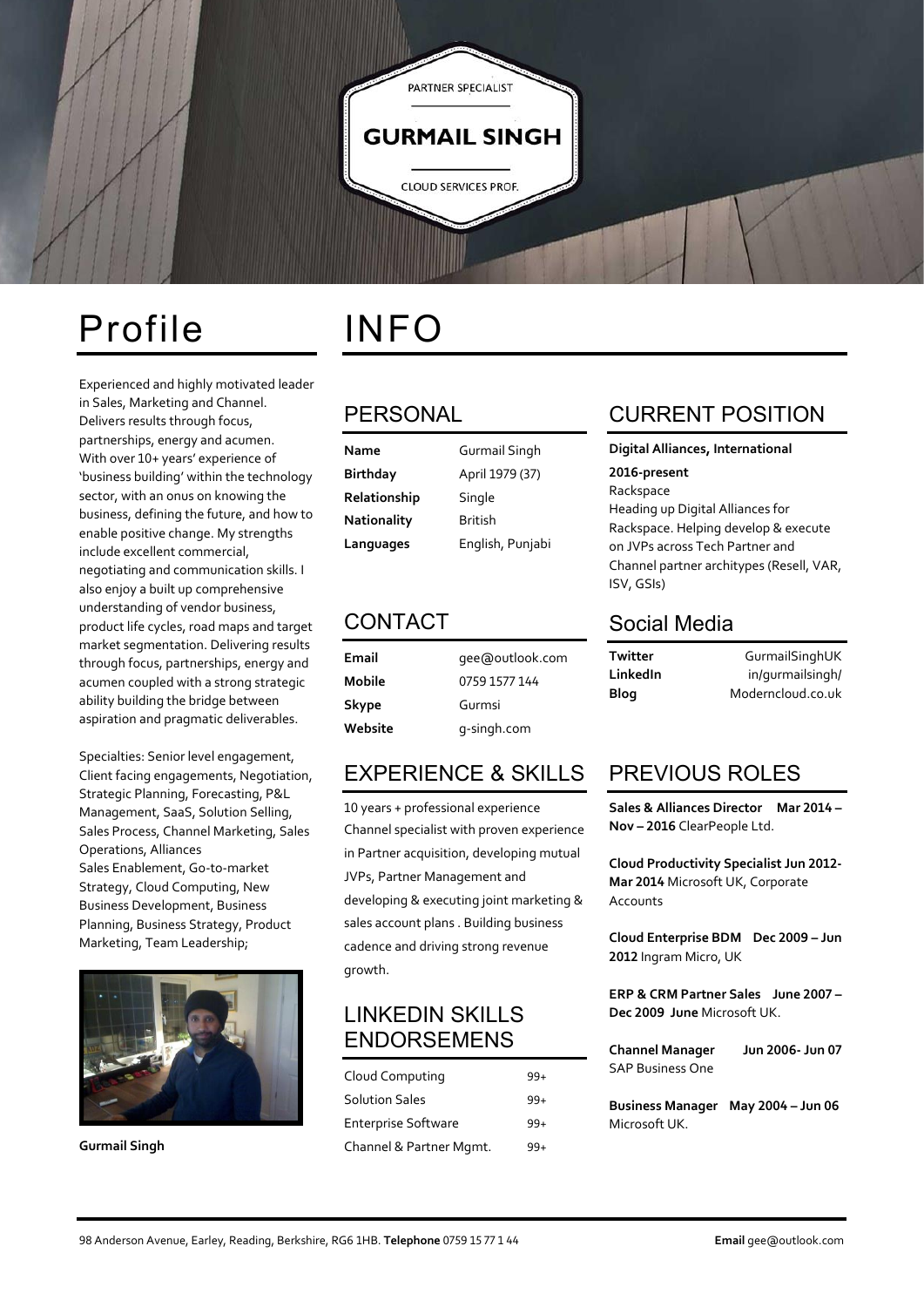

## Profile INFO

Experienced and highly motivated leader in Sales, Marketing and Channel. Delivers results through focus, partnerships, energy and acumen. With over 10+ years' experience of 'business building' within the technology sector, with an onus on knowing the business, defining the future, and how to enable positive change. My strengths include excellent commercial, negotiating and communication skills. I also enjoy a built up comprehensive understanding of vendor business, product life cycles, road maps and target market segmentation. Delivering results through focus, partnerships, energy and acumen coupled with a strong strategic ability building the bridge between aspiration and pragmatic deliverables.

Specialties: Senior level engagement, Client facing engagements, Negotiation, Strategic Planning, Forecasting, P&L Management, SaaS, Solution Selling, Sales Process, Channel Marketing, Sales Operations, Alliances Sales Enablement, Go-to-market Strategy, Cloud Computing, New Business Development, Business Planning, Business Strategy, Product Marketing, Team Leadership;



**Gurmail Singh**

## PERSONAL

**Name** Gurmail Singh **Birthday** April 1979 (37) **Relationship** Single **Nationality** British **Languages** English, Punjabi

## CONTACT

**Email** gee@outlook.com **Mobile** 0759 1577 144 **Skype** Gurmsi **Website** g-singh.com

## EXPERIENCE & SKILLS

10 years + professional experience Channel specialist with proven experience in Partner acquisition, developing mutual JVPs, Partner Management and developing & executing joint marketing & sales account plans . Building business cadence and driving strong revenue growth.

## LINKEDIN SKILLS ENDORSEMENS

| Cloud Computing            | 99+   |
|----------------------------|-------|
| <b>Solution Sales</b>      | $99+$ |
| <b>Enterprise Software</b> | $99+$ |
| Channel & Partner Mgmt.    | 99+   |

## CURRENT POSITION

**Digital Alliances, International** 

### **2016-present**

Rackspace Heading up Digital Alliances for Rackspace. Helping develop & execute on JVPs across Tech Partner and Channel partner architypes (Resell, VAR, ISV, GSIs)

### Social Media

| Twitter  | GurmailSinghUK    |
|----------|-------------------|
| LinkedIn | in/gurmailsingh/  |
| Blog     | Moderncloud.co.uk |

## PREVIOUS ROLES

**Sales & Alliances Director Mar 2014 – Nov – 2016** ClearPeople Ltd.

**Cloud Productivity Specialist Jun 2012- Mar 2014** Microsoft UK, Corporate Accounts

**Cloud Enterprise BDM Dec 2009 – Jun 2012** Ingram Micro, UK

**ERP & CRM Partner Sales June 2007 – Dec 2009 June** Microsoft UK.

| <b>Channel Manager</b>  | Jun 2006- Jun 07 |
|-------------------------|------------------|
| <b>SAP Business One</b> |                  |

**Business Manager May 2004 – Jun 06** Microsoft UK.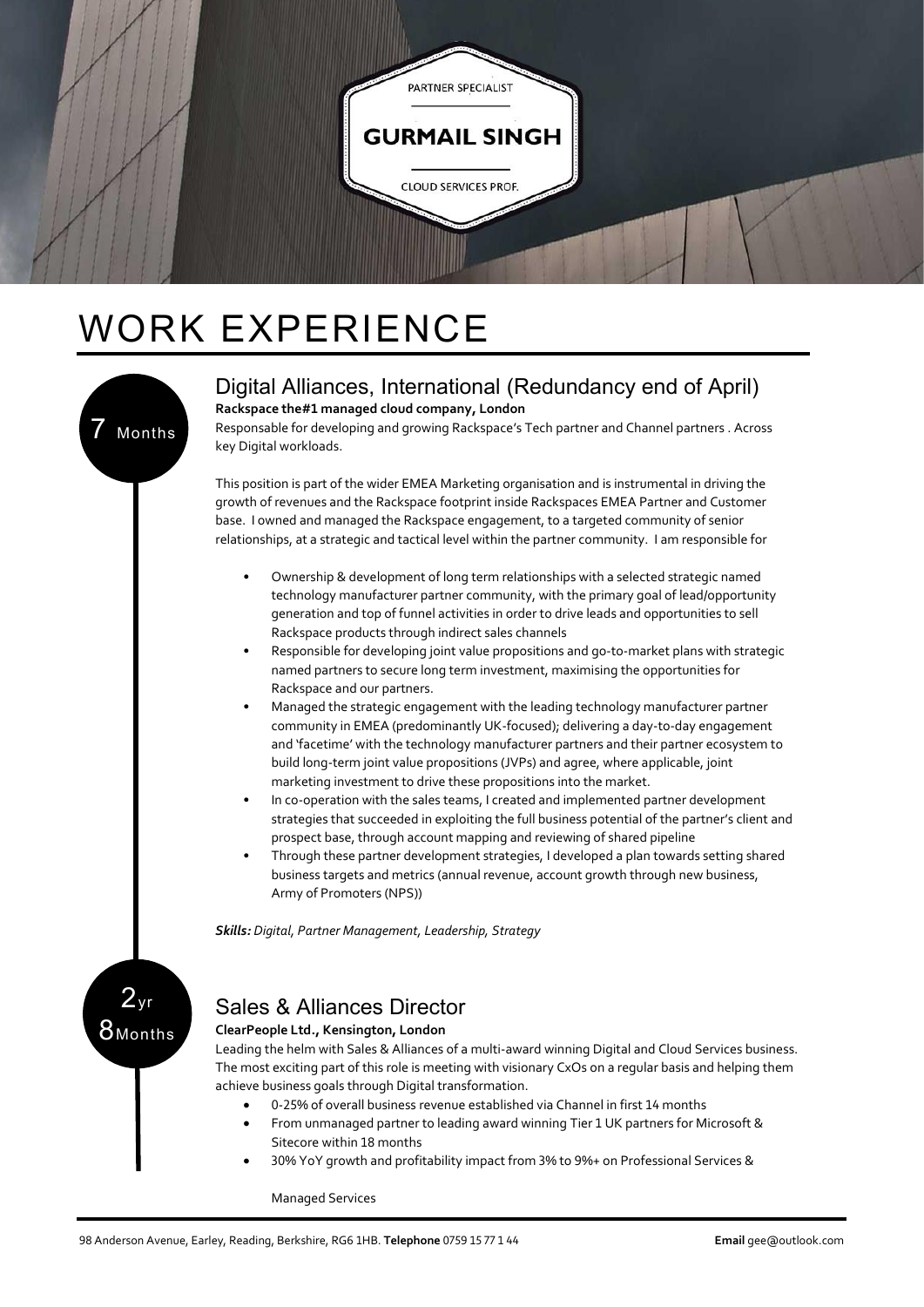

# WORK EXPERIENCE



### Digital Alliances, International (Redundancy end of April) **Rackspace the#1 managed cloud company, London**

Responsable for developing and growing Rackspace's Tech partner and Channel partners . Across key Digital workloads.

This position is part of the wider EMEA Marketing organisation and is instrumental in driving the growth of revenues and the Rackspace footprint inside Rackspaces EMEA Partner and Customer base. I owned and managed the Rackspace engagement, to a targeted community of senior relationships, at a strategic and tactical level within the partner community. I am responsible for

- Ownership & development of long term relationships with a selected strategic named technology manufacturer partner community, with the primary goal of lead/opportunity generation and top of funnel activities in order to drive leads and opportunities to sell Rackspace products through indirect sales channels
- Responsible for developing joint value propositions and go-to-market plans with strategic named partners to secure long term investment, maximising the opportunities for Rackspace and our partners.
- Managed the strategic engagement with the leading technology manufacturer partner community in EMEA (predominantly UK-focused); delivering a day-to-day engagement and 'facetime' with the technology manufacturer partners and their partner ecosystem to build long-term joint value propositions (JVPs) and agree, where applicable, joint marketing investment to drive these propositions into the market.
- In co-operation with the sales teams, I created and implemented partner development strategies that succeeded in exploiting the full business potential of the partner's client and prospect base, through account mapping and reviewing of shared pipeline
- Through these partner development strategies, I developed a plan towards setting shared business targets and metrics (annual revenue, account growth through new business, Army of Promoters (NPS))

*Skills: Digital, Partner Management, Leadership, Strategy*

## $2<sub>yr</sub>$  $8$ Months

## Sales & Alliances Director

### **ClearPeople Ltd., Kensington, London**

Leading the helm with Sales & Alliances of a multi-award winning Digital and Cloud Services business. The most exciting part of this role is meeting with visionary CxOs on a regular basis and helping them achieve business goals through Digital transformation.

- 0-25% of overall business revenue established via Channel in first 14 months
- From unmanaged partner to leading award winning Tier 1 UK partners for Microsoft & Sitecore within 18 months
- 30% YoY growth and profitability impact from 3% to 9%+ on Professional Services &

Managed Services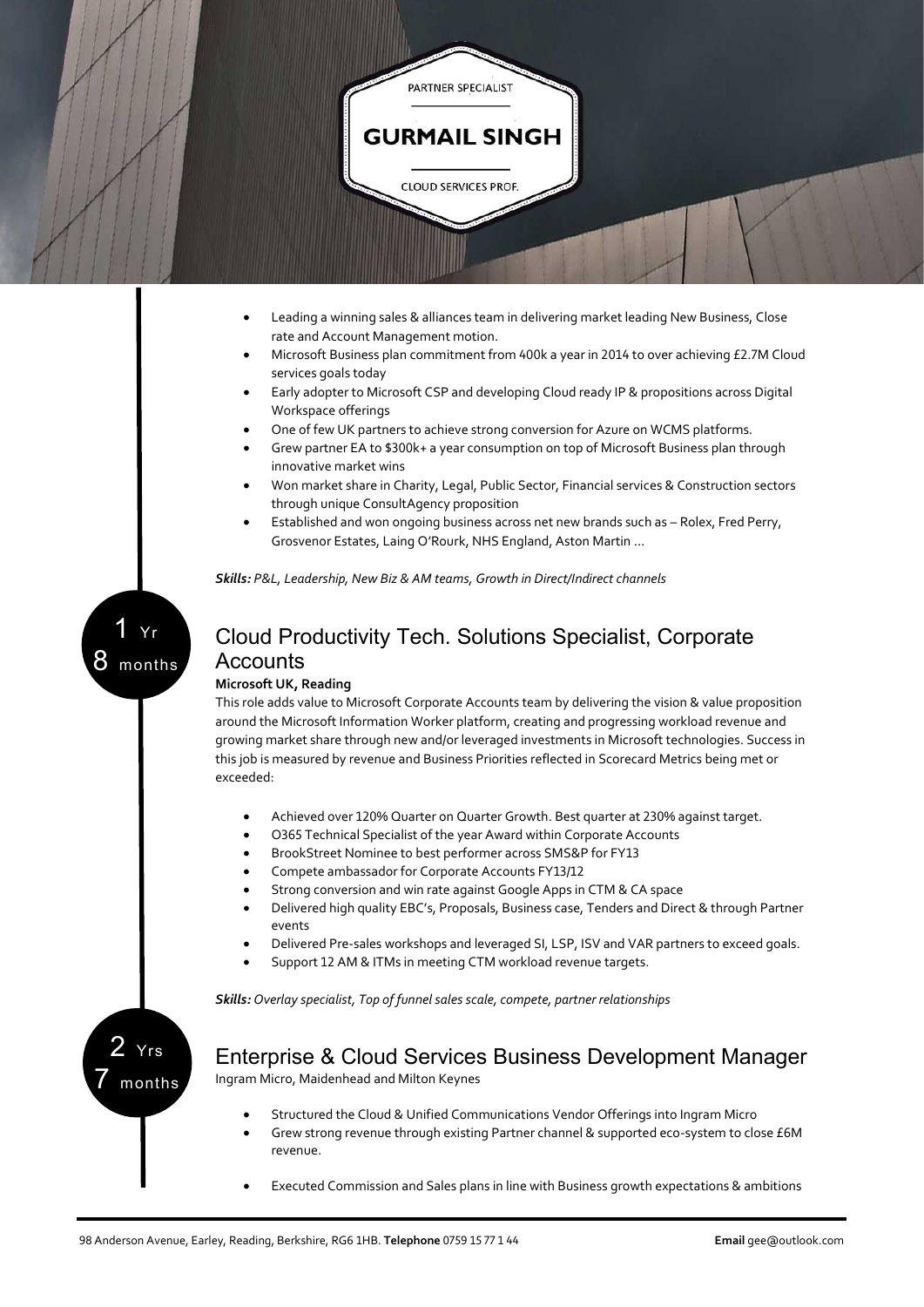

- Leading a winning sales & alliances team in delivering market leading New Business, Close rate and Account Management motion.
- Microsoft Business plan commitment from 400k a year in 2014 to over achieving £2.7M Cloud services goals today
- Early adopter to Microsoft CSP and developing Cloud ready IP & propositions across Digital Workspace offerings
- One of few UK partners to achieve strong conversion for Azure on WCMS platforms.
- Grew partner EA to \$300k+ a year consumption on top of Microsoft Business plan through innovative market wins
- Won market share in Charity, Legal, Public Sector, Financial services & Construction sectors through unique ConsultAgency proposition
- Established and won ongoing business across net new brands such as Rolex, Fred Perry, Grosvenor Estates, Laing O'Rourk, NHS England, Aston Martin …

*Skills: P&L, Leadership, New Biz & AM teams, Growth in Direct/Indirect channels*

1 Yr 8 months

### Cloud Productivity Tech. Solutions Specialist, Corporate **Accounts**

#### **Microsoft UK, Reading**

This role adds value to Microsoft Corporate Accounts team by delivering the vision & value proposition around the Microsoft Information Worker platform, creating and progressing workload revenue and growing market share through new and/or leveraged investments in Microsoft technologies. Success in this job is measured by revenue and Business Priorities reflected in Scorecard Metrics being met or exceeded:

- Achieved over 120% Quarter on Quarter Growth. Best quarter at 230% against target.
- O365 Technical Specialist of the year Award within Corporate Accounts
- BrookStreet Nominee to best performer across SMS&P for FY13
- Compete ambassador for Corporate Accounts FY13/12
- Strong conversion and win rate against Google Apps in CTM & CA space
- Delivered high quality EBC's, Proposals, Business case, Tenders and Direct & through Partner events
- Delivered Pre-sales workshops and leveraged SI, LSP, ISV and VAR partners to exceed goals.
- Support 12 AM & ITMs in meeting CTM workload revenue targets.

*Skills: Overlay specialist, Top of funnel sales scale, compete, partner relationships*

2 Yrs 7 months

Enterprise & Cloud Services Business Development Manager

Ingram Micro, Maidenhead and Milton Keynes

- Structured the Cloud & Unified Communications Vendor Offerings into Ingram Micro
- Grew strong revenue through existing Partner channel & supported eco-system to close £6M revenue.
- Executed Commission and Sales plans in line with Business growth expectations & ambitions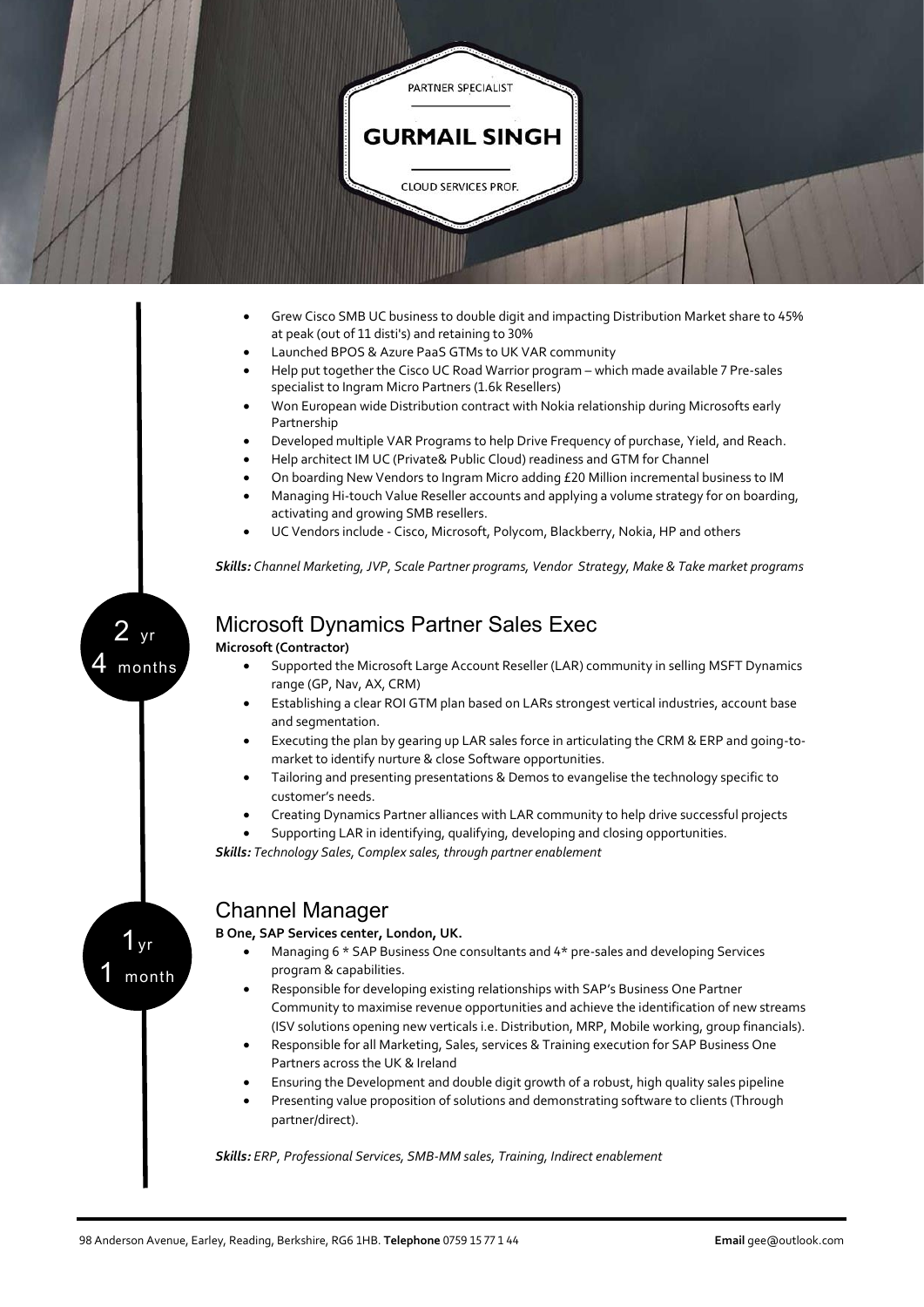

- Won European wide Distribution contract with Nokia relationship during Microsofts early Partnership
- Developed multiple VAR Programs to help Drive Frequency of purchase, Yield, and Reach.
- Help architect IM UC (Private& Public Cloud) readiness and GTM for Channel
- On boarding New Vendors to Ingram Micro adding £20 Million incremental business to IM
- Managing Hi-touch Value Reseller accounts and applying a volume strategy for on boarding, activating and growing SMB resellers.
- UC Vendors include Cisco, Microsoft, Polycom, Blackberry, Nokia, HP and others

*Skills: Channel Marketing, JVP, Scale Partner programs, Vendor Strategy, Make & Take market programs*

 $2<sub>yr</sub>$ months

 $1_yr$ 

month

## Microsoft Dynamics Partner Sales Exec

**Microsoft (Contractor)**

- Supported the Microsoft Large Account Reseller (LAR) community in selling MSFT Dynamics range (GP, Nav, AX, CRM)
- Establishing a clear ROI GTM plan based on LARs strongest vertical industries, account base and segmentation.
- Executing the plan by gearing up LAR sales force in articulating the CRM & ERP and going-tomarket to identify nurture & close Software opportunities.
- Tailoring and presenting presentations & Demos to evangelise the technology specific to customer's needs.
- Creating Dynamics Partner alliances with LAR community to help drive successful projects

 Supporting LAR in identifying, qualifying, developing and closing opportunities. *Skills: Technology Sales, Complex sales, through partner enablement*

### Channel Manager

### **B One, SAP Services center, London, UK.**

- Managing 6 \* SAP Business One consultants and 4\* pre-sales and developing Services program & capabilities.
- Responsible for developing existing relationships with SAP's Business One Partner Community to maximise revenue opportunities and achieve the identification of new streams (ISV solutions opening new verticals i.e. Distribution, MRP, Mobile working, group financials).
- Responsible for all Marketing, Sales, services & Training execution for SAP Business One Partners across the UK & Ireland
- Ensuring the Development and double digit growth of a robust, high quality sales pipeline
- Presenting value proposition of solutions and demonstrating software to clients (Through partner/direct).

*Skills: ERP, Professional Services, SMB-MM sales, Training, Indirect enablement*